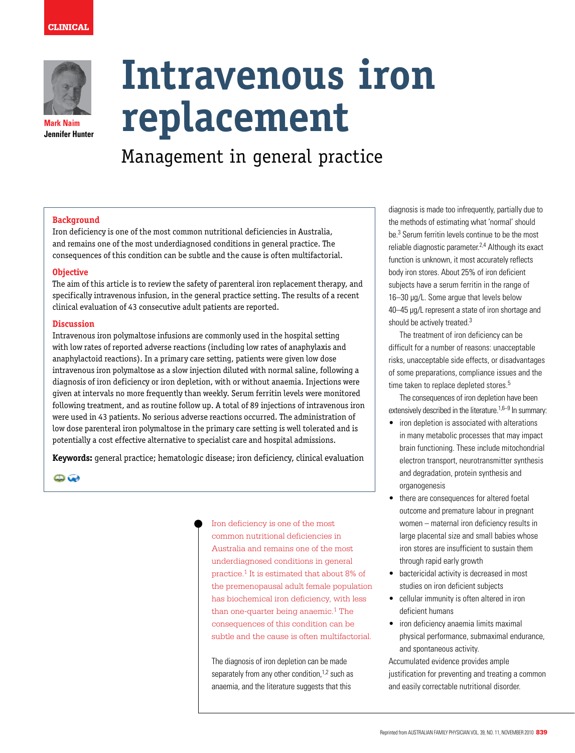

**Mark Naim Jennifer Hunter**

# **Intravenous iron replacement**

Management in general practice

#### **Background**

Iron deficiency is one of the most common nutritional deficiencies in Australia, and remains one of the most underdiagnosed conditions in general practice. The consequences of this condition can be subtle and the cause is often multifactorial.

#### **Objective**

The aim of this article is to review the safety of parenteral iron replacement therapy, and specifically intravenous infusion, in the general practice setting. The results of a recent clinical evaluation of 43 consecutive adult patients are reported.

#### **Discussion**

Intravenous iron polymaltose infusions are commonly used in the hospital setting with low rates of reported adverse reactions (including low rates of anaphylaxis and anaphylactoid reactions). In a primary care setting, patients were given low dose intravenous iron polymaltose as a slow injection diluted with normal saline, following a diagnosis of iron deficiency or iron depletion, with or without anaemia. Injections were given at intervals no more frequently than weekly. Serum ferritin levels were monitored following treatment, and as routine follow up. A total of 89 injections of intravenous iron were used in 43 patients. No serious adverse reactions occurred. The administration of low dose parenteral iron polymaltose in the primary care setting is well tolerated and is potentially a cost effective alternative to specialist care and hospital admissions.

**Keywords:** general practice; hematologic disease; iron deficiency, clinical evaluation

 $\bullet$ 

Iron deficiency is one of the most common nutritional deficiencies in Australia and remains one of the most underdiagnosed conditions in general practice.1 It is estimated that about 8% of the premenopausal adult female population has biochemical iron deficiency, with less than one-quarter being anaemic. $1$  The consequences of this condition can be subtle and the cause is often multifactorial.

The diagnosis of iron depletion can be made separately from any other condition, $1,2$  such as anaemia, and the literature suggests that this

diagnosis is made too infrequently, partially due to the methods of estimating what 'normal' should be.3 Serum ferritin levels continue to be the most reliable diagnostic parameter.2,4 Although its exact function is unknown, it most accurately reflects body iron stores. About 25% of iron deficient subjects have a serum ferritin in the range of 16–30 µg/L. Some argue that levels below 40–45 µg/L represent a state of iron shortage and should be actively treated.<sup>3</sup>

 The treatment of iron deficiency can be difficult for a number of reasons: unacceptable risks, unacceptable side effects, or disadvantages of some preparations, compliance issues and the time taken to replace depleted stores.<sup>5</sup>

 The consequences of iron depletion have been extensively described in the literature.<sup>1,6–9</sup> In summary:

- iron depletion is associated with alterations in many metabolic processes that may impact brain functioning. These include mitochondrial electron transport, neurotransmitter synthesis and degradation, protein synthesis and organogenesis
- there are consequences for altered foetal outcome and premature labour in pregnant women – maternal iron deficiency results in large placental size and small babies whose iron stores are insufficient to sustain them through rapid early growth
- bactericidal activity is decreased in most studies on iron deficient subjects
- • cellular immunity is often altered in iron deficient humans
- • iron deficiency anaemia limits maximal physical performance, submaximal endurance, and spontaneous activity.

Accumulated evidence provides ample justification for preventing and treating a common and easily correctable nutritional disorder.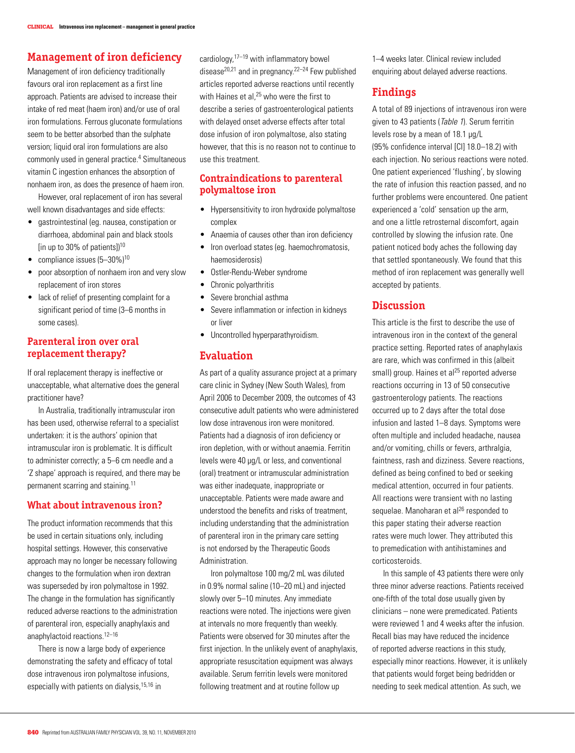# **Management of iron deficiency**

Management of iron deficiency traditionally favours oral iron replacement as a first line approach. Patients are advised to increase their intake of red meat (haem iron) and/or use of oral iron formulations. Ferrous gluconate formulations seem to be better absorbed than the sulphate version; liquid oral iron formulations are also commonly used in general practice.4 Simultaneous vitamin C ingestion enhances the absorption of nonhaem iron, as does the presence of haem iron.

 However, oral replacement of iron has several well known disadvantages and side effects:

- gastrointestinal (eg. nausea, constipation or diarrhoea, abdominal pain and black stools [in up to 30% of patients])<sup>10</sup>
- compliance issues  $(5-30\%)$ <sup>10</sup>
- poor absorption of nonhaem iron and very slow replacement of iron stores
- • lack of relief of presenting complaint for a significant period of time (3–6 months in some cases).

### **Parenteral iron over oral replacement therapy?**

If oral replacement therapy is ineffective or unacceptable, what alternative does the general practitioner have?

 In Australia, traditionally intramuscular iron has been used, otherwise referral to a specialist undertaken: it is the authors' opinion that intramuscular iron is problematic. It is difficult to administer correctly; a 5–6 cm needle and a 'Z shape' approach is required, and there may be permanent scarring and staining.11

### **What about intravenous iron?**

The product information recommends that this be used in certain situations only, including hospital settings. However, this conservative approach may no longer be necessary following changes to the formulation when iron dextran was superseded by iron polymaltose in 1992. The change in the formulation has significantly reduced adverse reactions to the administration of parenteral iron, especially anaphylaxis and anaphylactoid reactions.<sup>12-16</sup>

 There is now a large body of experience demonstrating the safety and efficacy of total dose intravenous iron polymaltose infusions, especially with patients on dialysis,15,16 in

cardiology  $17-19$  with inflammatory bowel disease20,21 and in pregnancy.22–24 Few published articles reported adverse reactions until recently with Haines et al.<sup>25</sup> who were the first to describe a series of gastroenterological patients with delayed onset adverse effects after total dose infusion of iron polymaltose, also stating however, that this is no reason not to continue to use this treatment.

# **Contraindications to parenteral polymaltose iron**

- Hypersensitivity to iron hydroxide polymaltose complex
- Anaemia of causes other than iron deficiency
- Iron overload states (eg. haemochromatosis, haemosiderosis)
- Ostler-Rendu-Weber syndrome
- Chronic polyarthritis
- Severe bronchial asthma
- Severe inflammation or infection in kidneys or liver
- Uncontrolled hyperparathyroidism.

## **Evaluation**

As part of a quality assurance project at a primary care clinic in Sydney (New South Wales), from April 2006 to December 2009, the outcomes of 43 consecutive adult patients who were administered low dose intravenous iron were monitored. Patients had a diagnosis of iron deficiency or iron depletion, with or without anaemia. Ferritin levels were 40 µg/L or less, and conventional (oral) treatment or intramuscular administration was either inadequate, inappropriate or unacceptable. Patients were made aware and understood the benefits and risks of treatment, including understanding that the administration of parenteral iron in the primary care setting is not endorsed by the Therapeutic Goods Administration.

 Iron polymaltose 100 mg/2 mL was diluted in 0.9% normal saline (10–20 mL) and injected slowly over 5–10 minutes. Any immediate reactions were noted. The injections were given at intervals no more frequently than weekly. Patients were observed for 30 minutes after the first injection. In the unlikely event of anaphylaxis, appropriate resuscitation equipment was always available. Serum ferritin levels were monitored following treatment and at routine follow up

1–4 weeks later. Clinical review included enquiring about delayed adverse reactions.

# **Findings**

A total of 89 injections of intravenous iron were given to 43 patients (Table 1). Serum ferritin levels rose by a mean of 18.1 µg/L (95% confidence interval [CI] 18.0–18.2) with each injection. No serious reactions were noted. One patient experienced 'flushing', by slowing the rate of infusion this reaction passed, and no further problems were encountered. One patient experienced a 'cold' sensation up the arm, and one a little retrosternal discomfort, again controlled by slowing the infusion rate. One patient noticed body aches the following day that settled spontaneously. We found that this method of iron replacement was generally well accepted by patients.

## **Discussion**

This article is the first to describe the use of intravenous iron in the context of the general practice setting. Reported rates of anaphylaxis are rare, which was confirmed in this (albeit small) group. Haines et al<sup>25</sup> reported adverse reactions occurring in 13 of 50 consecutive gastroenterology patients. The reactions occurred up to 2 days after the total dose infusion and lasted 1–8 days. Symptoms were often multiple and included headache, nausea and/or vomiting, chills or fevers, arthralgia, faintness, rash and dizziness. Severe reactions, defined as being confined to bed or seeking medical attention, occurred in four patients. All reactions were transient with no lasting sequelae. Manoharan et al $^{26}$  responded to this paper stating their adverse reaction rates were much lower. They attributed this to premedication with antihistamines and corticosteroids.

 In this sample of 43 patients there were only three minor adverse reactions. Patients received one-fifth of the total dose usually given by clinicians – none were premedicated. Patients were reviewed 1 and 4 weeks after the infusion. Recall bias may have reduced the incidence of reported adverse reactions in this study, especially minor reactions. However, it is unlikely that patients would forget being bedridden or needing to seek medical attention. As such, we